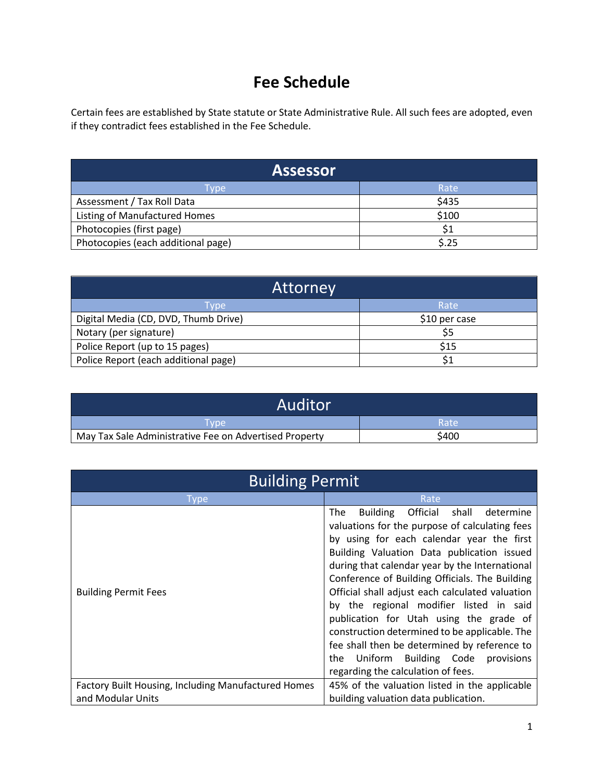## **Fee Schedule**

Certain fees are established by State statute or State Administrative Rule. All such fees are adopted, even if they contradict fees established in the Fee Schedule.

| <b>Assessor</b>                    |       |
|------------------------------------|-------|
| Tvpe                               | Rate  |
| Assessment / Tax Roll Data         | \$435 |
| Listing of Manufactured Homes      | \$100 |
| Photocopies (first page)           | \$1   |
| Photocopies (each additional page) | \$.25 |

| Attorney                             |               |
|--------------------------------------|---------------|
| Tvpe                                 | Rate          |
| Digital Media (CD, DVD, Thumb Drive) | \$10 per case |
| Notary (per signature)               | \$5           |
| Police Report (up to 15 pages)       | \$15          |
| Police Report (each additional page) |               |

| Auditor                                                |       |
|--------------------------------------------------------|-------|
| Tvpe'                                                  | Rate  |
| May Tax Sale Administrative Fee on Advertised Property | \$400 |

| <b>Building Permit</b>                              |                                                                                                                                                                                                                                                                                                                                                                                                                                                                                                                                                                                                                               |
|-----------------------------------------------------|-------------------------------------------------------------------------------------------------------------------------------------------------------------------------------------------------------------------------------------------------------------------------------------------------------------------------------------------------------------------------------------------------------------------------------------------------------------------------------------------------------------------------------------------------------------------------------------------------------------------------------|
| Type                                                | Rate                                                                                                                                                                                                                                                                                                                                                                                                                                                                                                                                                                                                                          |
| <b>Building Permit Fees</b>                         | Official shall<br>The<br>determine<br>Building<br>valuations for the purpose of calculating fees<br>by using for each calendar year the first<br>Building Valuation Data publication issued<br>during that calendar year by the International<br>Conference of Building Officials. The Building<br>Official shall adjust each calculated valuation<br>by the regional modifier listed in said<br>publication for Utah using the grade of<br>construction determined to be applicable. The<br>fee shall then be determined by reference to<br>Uniform Building Code<br>the<br>provisions<br>regarding the calculation of fees. |
| Factory Built Housing, Including Manufactured Homes | 45% of the valuation listed in the applicable                                                                                                                                                                                                                                                                                                                                                                                                                                                                                                                                                                                 |
| and Modular Units                                   | building valuation data publication.                                                                                                                                                                                                                                                                                                                                                                                                                                                                                                                                                                                          |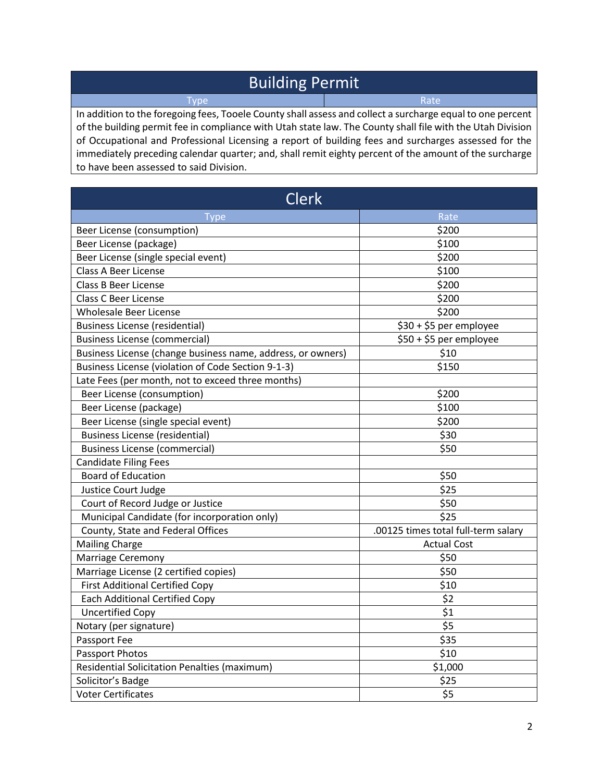## Building Permit

Type Rate Rate (Research March 2014)

In addition to the foregoing fees, Tooele County shall assess and collect a surcharge equal to one percent of the building permit fee in compliance with Utah state law. The County shall file with the Utah Division of Occupational and Professional Licensing a report of building fees and surcharges assessed for the immediately preceding calendar quarter; and, shall remit eighty percent of the amount of the surcharge to have been assessed to said Division.

| <b>Clerk</b>                                                |                                     |
|-------------------------------------------------------------|-------------------------------------|
| <b>Type</b>                                                 | Rate                                |
| Beer License (consumption)                                  | \$200                               |
| Beer License (package)                                      | \$100                               |
| Beer License (single special event)                         | \$200                               |
| <b>Class A Beer License</b>                                 | \$100                               |
| <b>Class B Beer License</b>                                 | \$200                               |
| <b>Class C Beer License</b>                                 | \$200                               |
| <b>Wholesale Beer License</b>                               | \$200                               |
| <b>Business License (residential)</b>                       | \$30 + \$5 per employee             |
| <b>Business License (commercial)</b>                        | \$50 + \$5 per employee             |
| Business License (change business name, address, or owners) | \$10                                |
| Business License (violation of Code Section 9-1-3)          | \$150                               |
| Late Fees (per month, not to exceed three months)           |                                     |
| Beer License (consumption)                                  | \$200                               |
| Beer License (package)                                      | \$100                               |
| Beer License (single special event)                         | \$200                               |
| <b>Business License (residential)</b>                       | \$30                                |
| <b>Business License (commercial)</b>                        | \$50                                |
| <b>Candidate Filing Fees</b>                                |                                     |
| <b>Board of Education</b>                                   | \$50                                |
| Justice Court Judge                                         | \$25                                |
| Court of Record Judge or Justice                            | \$50                                |
| Municipal Candidate (for incorporation only)                | \$25                                |
| County, State and Federal Offices                           | .00125 times total full-term salary |
| <b>Mailing Charge</b>                                       | <b>Actual Cost</b>                  |
| <b>Marriage Ceremony</b>                                    | \$50                                |
| Marriage License (2 certified copies)                       | \$50                                |
| <b>First Additional Certified Copy</b>                      | \$10                                |
| <b>Each Additional Certified Copy</b>                       | \$2                                 |
| <b>Uncertified Copy</b>                                     | \$1                                 |
| Notary (per signature)                                      | \$5                                 |
| Passport Fee                                                | \$35                                |
| Passport Photos                                             | \$10                                |
| <b>Residential Solicitation Penalties (maximum)</b>         | \$1,000                             |
| Solicitor's Badge                                           | \$25                                |
| <b>Voter Certificates</b>                                   | \$5                                 |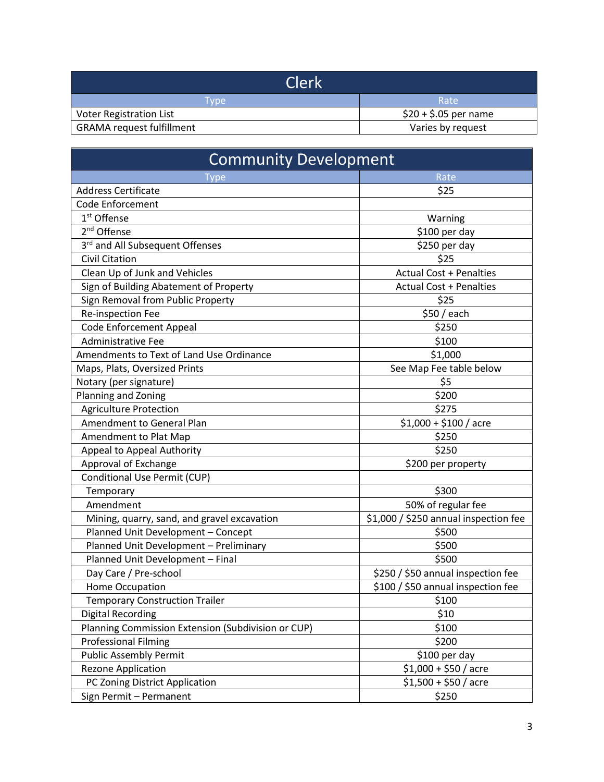| 'Clerk                           |                       |
|----------------------------------|-----------------------|
| I vpe                            | Rate                  |
| <b>Voter Registration List</b>   | $$20 + $.05$ per name |
| <b>GRAMA request fulfillment</b> | Varies by request     |

| <b>Community Development</b>                       |                                       |
|----------------------------------------------------|---------------------------------------|
| <b>Type</b>                                        | Rate                                  |
| <b>Address Certificate</b>                         | \$25                                  |
| <b>Code Enforcement</b>                            |                                       |
| 1 <sup>st</sup> Offense                            | Warning                               |
| 2 <sup>nd</sup> Offense                            | \$100 per day                         |
| 3rd and All Subsequent Offenses                    | \$250 per day                         |
| <b>Civil Citation</b>                              | \$25                                  |
| Clean Up of Junk and Vehicles                      | <b>Actual Cost + Penalties</b>        |
| Sign of Building Abatement of Property             | <b>Actual Cost + Penalties</b>        |
| Sign Removal from Public Property                  | \$25                                  |
| Re-inspection Fee                                  | \$50 / each                           |
| <b>Code Enforcement Appeal</b>                     | \$250                                 |
| <b>Administrative Fee</b>                          | \$100                                 |
| Amendments to Text of Land Use Ordinance           | \$1,000                               |
| Maps, Plats, Oversized Prints                      | See Map Fee table below               |
| Notary (per signature)                             | \$5                                   |
| Planning and Zoning                                | \$200                                 |
| <b>Agriculture Protection</b>                      | \$275                                 |
| Amendment to General Plan                          | $$1,000 + $100 /$ acre                |
| Amendment to Plat Map                              | \$250                                 |
| Appeal to Appeal Authority                         | \$250                                 |
| Approval of Exchange                               | \$200 per property                    |
| Conditional Use Permit (CUP)                       |                                       |
| Temporary                                          | \$300                                 |
| Amendment                                          | 50% of regular fee                    |
| Mining, quarry, sand, and gravel excavation        | \$1,000 / \$250 annual inspection fee |
| Planned Unit Development - Concept                 | \$500                                 |
| Planned Unit Development - Preliminary             | \$500                                 |
| Planned Unit Development - Final                   | \$500                                 |
| Day Care / Pre-school                              | \$250 / \$50 annual inspection fee    |
| Home Occupation                                    | \$100 / \$50 annual inspection fee    |
| <b>Temporary Construction Trailer</b>              | \$100                                 |
| <b>Digital Recording</b>                           | \$10                                  |
| Planning Commission Extension (Subdivision or CUP) | \$100                                 |
| <b>Professional Filming</b>                        | \$200                                 |
| <b>Public Assembly Permit</b>                      | \$100 per day                         |
| <b>Rezone Application</b>                          | $$1,000 + $50 /$ acre                 |
| PC Zoning District Application                     | $$1,500 + $50 /$ acre                 |
| Sign Permit - Permanent                            | \$250                                 |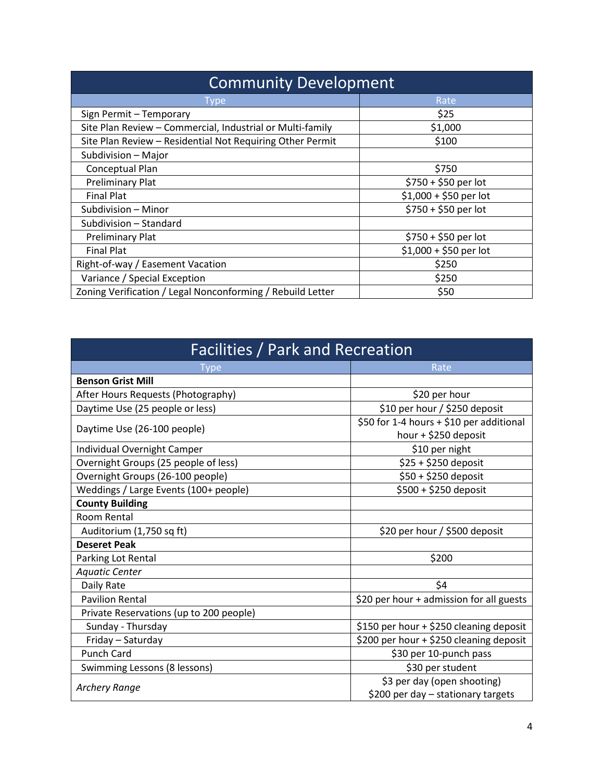| <b>Community Development</b>                               |                        |
|------------------------------------------------------------|------------------------|
| Type                                                       | Rate                   |
| Sign Permit - Temporary                                    | \$25                   |
| Site Plan Review - Commercial, Industrial or Multi-family  | \$1,000                |
| Site Plan Review - Residential Not Requiring Other Permit  | \$100                  |
| Subdivision - Major                                        |                        |
| Conceptual Plan                                            | \$750                  |
| <b>Preliminary Plat</b>                                    | \$750 + \$50 per lot   |
| <b>Final Plat</b>                                          | $$1,000 + $50$ per lot |
| Subdivision - Minor                                        | \$750 + \$50 per lot   |
| Subdivision - Standard                                     |                        |
| <b>Preliminary Plat</b>                                    | $$750 + $50$ per lot   |
| <b>Final Plat</b>                                          | $$1,000 + $50$ per lot |
| Right-of-way / Easement Vacation                           | \$250                  |
| Variance / Special Exception                               | \$250                  |
| Zoning Verification / Legal Nonconforming / Rebuild Letter | \$50                   |

| Facilities / Park and Recreation        |                                                                   |
|-----------------------------------------|-------------------------------------------------------------------|
| Type                                    | Rate                                                              |
| <b>Benson Grist Mill</b>                |                                                                   |
| After Hours Requests (Photography)      | \$20 per hour                                                     |
| Daytime Use (25 people or less)         | \$10 per hour / \$250 deposit                                     |
| Daytime Use (26-100 people)             | \$50 for 1-4 hours + \$10 per additional<br>hour + \$250 deposit  |
| Individual Overnight Camper             | \$10 per night                                                    |
| Overnight Groups (25 people of less)    | \$25 + \$250 deposit                                              |
| Overnight Groups (26-100 people)        | \$50 + \$250 deposit                                              |
| Weddings / Large Events (100+ people)   | \$500 + \$250 deposit                                             |
| <b>County Building</b>                  |                                                                   |
| Room Rental                             |                                                                   |
| Auditorium (1,750 sq ft)                | \$20 per hour / \$500 deposit                                     |
| <b>Deseret Peak</b>                     |                                                                   |
| Parking Lot Rental                      | \$200                                                             |
| <b>Aquatic Center</b>                   |                                                                   |
| Daily Rate                              | \$4                                                               |
| <b>Pavilion Rental</b>                  | \$20 per hour + admission for all guests                          |
| Private Reservations (up to 200 people) |                                                                   |
| Sunday - Thursday                       | \$150 per hour + \$250 cleaning deposit                           |
| Friday - Saturday                       | \$200 per hour + \$250 cleaning deposit                           |
| <b>Punch Card</b>                       | \$30 per 10-punch pass                                            |
| Swimming Lessons (8 lessons)            | \$30 per student                                                  |
| <b>Archery Range</b>                    | \$3 per day (open shooting)<br>\$200 per day - stationary targets |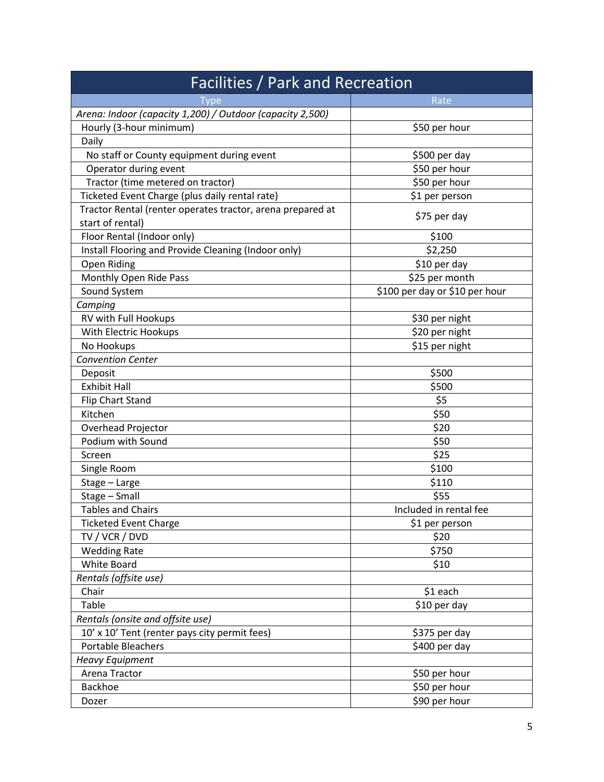| Facilities / Park and Recreation                           |                                |
|------------------------------------------------------------|--------------------------------|
| <u>I</u> vpe                                               | Rate                           |
| Arena: Indoor (capacity 1,200) / Outdoor (capacity 2,500)  |                                |
| Hourly (3-hour minimum)                                    | \$50 per hour                  |
| Daily                                                      |                                |
| No staff or County equipment during event                  | \$500 per day                  |
| Operator during event                                      | \$50 per hour                  |
| Tractor (time metered on tractor)                          | \$50 per hour                  |
| Ticketed Event Charge (plus daily rental rate)             | \$1 per person                 |
| Tractor Rental (renter operates tractor, arena prepared at |                                |
| start of rental)                                           | \$75 per day                   |
| Floor Rental (Indoor only)                                 | \$100                          |
| Install Flooring and Provide Cleaning (Indoor only)        | \$2,250                        |
| Open Riding                                                | \$10 per day                   |
| Monthly Open Ride Pass                                     | \$25 per month                 |
| Sound System                                               | \$100 per day or \$10 per hour |
| Camping                                                    |                                |
| RV with Full Hookups                                       | \$30 per night                 |
| With Electric Hookups                                      | \$20 per night                 |
| No Hookups                                                 | \$15 per night                 |
| <b>Convention Center</b>                                   |                                |
| Deposit                                                    | \$500                          |
| <b>Exhibit Hall</b>                                        | \$500                          |
| Flip Chart Stand                                           | \$5                            |
| Kitchen                                                    | \$50                           |
| Overhead Projector                                         | \$20                           |
| Podium with Sound                                          | \$50                           |
| Screen                                                     | \$25                           |
| Single Room                                                | \$100                          |
| Stage - Large                                              | \$110                          |
| Stage - Small                                              | \$55                           |
| <b>Tables and Chairs</b>                                   | Included in rental fee         |
| <b>Ticketed Event Charge</b>                               | \$1 per person                 |
| TV / VCR / DVD                                             | \$20                           |
| <b>Wedding Rate</b>                                        | \$750                          |
| <b>White Board</b>                                         | \$10                           |
| Rentals (offsite use)                                      |                                |
| Chair                                                      | \$1 each                       |
| Table                                                      | \$10 per day                   |
| Rentals (onsite and offsite use)                           |                                |
| 10' x 10' Tent (renter pays city permit fees)              | \$375 per day                  |
| <b>Portable Bleachers</b>                                  | \$400 per day                  |
| <b>Heavy Equipment</b>                                     |                                |
| Arena Tractor                                              | \$50 per hour                  |
| <b>Backhoe</b>                                             | \$50 per hour                  |
| Dozer                                                      | \$90 per hour                  |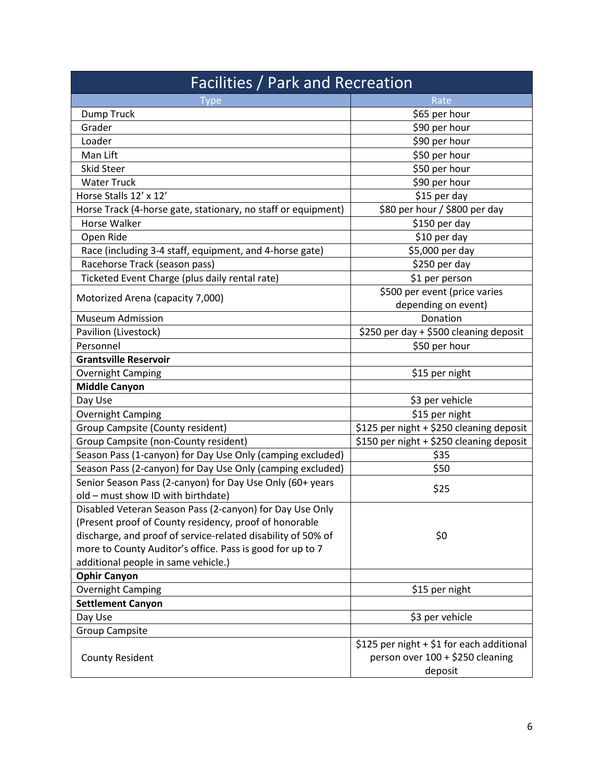| <b>Facilities / Park and Recreation</b>                       |                                                                                          |
|---------------------------------------------------------------|------------------------------------------------------------------------------------------|
| Type                                                          | Rate                                                                                     |
| Dump Truck                                                    | \$65 per hour                                                                            |
| Grader                                                        | \$90 per hour                                                                            |
| Loader                                                        | \$90 per hour                                                                            |
| Man Lift                                                      | \$50 per hour                                                                            |
| <b>Skid Steer</b>                                             | \$50 per hour                                                                            |
| <b>Water Truck</b>                                            | \$90 per hour                                                                            |
| Horse Stalls 12' x 12'                                        | \$15 per day                                                                             |
| Horse Track (4-horse gate, stationary, no staff or equipment) | \$80 per hour / \$800 per day                                                            |
| Horse Walker                                                  | \$150 per day                                                                            |
| Open Ride                                                     | \$10 per day                                                                             |
| Race (including 3-4 staff, equipment, and 4-horse gate)       | \$5,000 per day                                                                          |
| Racehorse Track (season pass)                                 | \$250 per day                                                                            |
| Ticketed Event Charge (plus daily rental rate)                | \$1 per person                                                                           |
|                                                               | \$500 per event (price varies                                                            |
| Motorized Arena (capacity 7,000)                              | depending on event)                                                                      |
| <b>Museum Admission</b>                                       | Donation                                                                                 |
| Pavilion (Livestock)                                          | \$250 per day + \$500 cleaning deposit                                                   |
| Personnel                                                     | \$50 per hour                                                                            |
| <b>Grantsville Reservoir</b>                                  |                                                                                          |
| <b>Overnight Camping</b>                                      | \$15 per night                                                                           |
| <b>Middle Canyon</b>                                          |                                                                                          |
| Day Use                                                       | \$3 per vehicle                                                                          |
| <b>Overnight Camping</b>                                      | \$15 per night                                                                           |
| Group Campsite (County resident)                              | \$125 per night + \$250 cleaning deposit                                                 |
| Group Campsite (non-County resident)                          | \$150 per night + \$250 cleaning deposit                                                 |
| Season Pass (1-canyon) for Day Use Only (camping excluded)    | \$35                                                                                     |
| Season Pass (2-canyon) for Day Use Only (camping excluded)    | \$50                                                                                     |
| Senior Season Pass (2-canyon) for Day Use Only (60+ years     | \$25                                                                                     |
| old - must show ID with birthdate)                            |                                                                                          |
| Disabled Veteran Season Pass (2-canyon) for Day Use Only      |                                                                                          |
| (Present proof of County residency, proof of honorable        |                                                                                          |
| discharge, and proof of service-related disability of 50% of  | \$0                                                                                      |
| more to County Auditor's office. Pass is good for up to 7     |                                                                                          |
| additional people in same vehicle.)                           |                                                                                          |
| <b>Ophir Canyon</b>                                           |                                                                                          |
| Overnight Camping                                             | \$15 per night                                                                           |
| <b>Settlement Canyon</b>                                      |                                                                                          |
| Day Use                                                       | \$3 per vehicle                                                                          |
| <b>Group Campsite</b>                                         |                                                                                          |
| <b>County Resident</b>                                        | \$125 per night + \$1 for each additional<br>person over 100 + \$250 cleaning<br>deposit |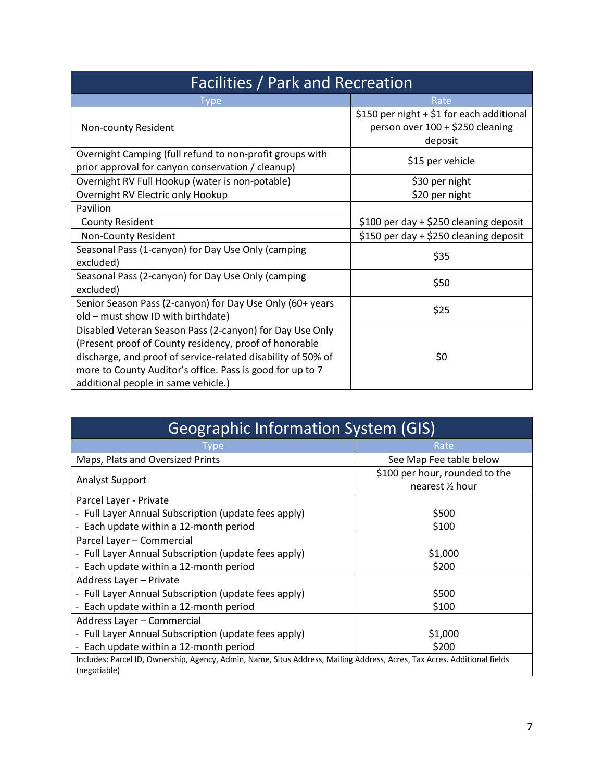| <b>Facilities / Park and Recreation</b>                                                                                                                                                                                                                                                |                                                                                          |
|----------------------------------------------------------------------------------------------------------------------------------------------------------------------------------------------------------------------------------------------------------------------------------------|------------------------------------------------------------------------------------------|
| Type                                                                                                                                                                                                                                                                                   | Rate                                                                                     |
| Non-county Resident                                                                                                                                                                                                                                                                    | \$150 per night + \$1 for each additional<br>person over 100 + \$250 cleaning<br>deposit |
| Overnight Camping (full refund to non-profit groups with<br>prior approval for canyon conservation / cleanup)                                                                                                                                                                          | \$15 per vehicle                                                                         |
| Overnight RV Full Hookup (water is non-potable)                                                                                                                                                                                                                                        | \$30 per night                                                                           |
| Overnight RV Electric only Hookup                                                                                                                                                                                                                                                      | \$20 per night                                                                           |
| Pavilion                                                                                                                                                                                                                                                                               |                                                                                          |
| <b>County Resident</b>                                                                                                                                                                                                                                                                 | \$100 per day + \$250 cleaning deposit                                                   |
| Non-County Resident                                                                                                                                                                                                                                                                    | \$150 per day + \$250 cleaning deposit                                                   |
| Seasonal Pass (1-canyon) for Day Use Only (camping<br>excluded)                                                                                                                                                                                                                        | \$35                                                                                     |
| Seasonal Pass (2-canyon) for Day Use Only (camping<br>excluded)                                                                                                                                                                                                                        | \$50                                                                                     |
| Senior Season Pass (2-canyon) for Day Use Only (60+ years<br>old - must show ID with birthdate)                                                                                                                                                                                        | \$25                                                                                     |
| Disabled Veteran Season Pass (2-canyon) for Day Use Only<br>(Present proof of County residency, proof of honorable<br>discharge, and proof of service-related disability of 50% of<br>more to County Auditor's office. Pass is good for up to 7<br>additional people in same vehicle.) | \$0                                                                                      |

| <b>Geographic Information System (GIS)</b>                                                                                               |                                                              |  |
|------------------------------------------------------------------------------------------------------------------------------------------|--------------------------------------------------------------|--|
| <b>vpe</b>                                                                                                                               | Rate                                                         |  |
| Maps, Plats and Oversized Prints                                                                                                         | See Map Fee table below                                      |  |
| <b>Analyst Support</b>                                                                                                                   | \$100 per hour, rounded to the<br>nearest $\frac{1}{2}$ hour |  |
| Parcel Layer - Private                                                                                                                   |                                                              |  |
| - Full Layer Annual Subscription (update fees apply)                                                                                     | \$500                                                        |  |
| - Each update within a 12-month period                                                                                                   | \$100                                                        |  |
| Parcel Layer - Commercial                                                                                                                |                                                              |  |
| - Full Layer Annual Subscription (update fees apply)                                                                                     | \$1,000                                                      |  |
| - Each update within a 12-month period                                                                                                   | \$200                                                        |  |
| Address Layer - Private                                                                                                                  |                                                              |  |
| - Full Layer Annual Subscription (update fees apply)                                                                                     | \$500                                                        |  |
| - Each update within a 12-month period                                                                                                   | \$100                                                        |  |
| Address Layer - Commercial                                                                                                               |                                                              |  |
| - Full Layer Annual Subscription (update fees apply)                                                                                     | \$1,000                                                      |  |
| - Each update within a 12-month period                                                                                                   | \$200                                                        |  |
| Includes: Parcel ID, Ownership, Agency, Admin, Name, Situs Address, Mailing Address, Acres, Tax Acres. Additional fields<br>(negotiable) |                                                              |  |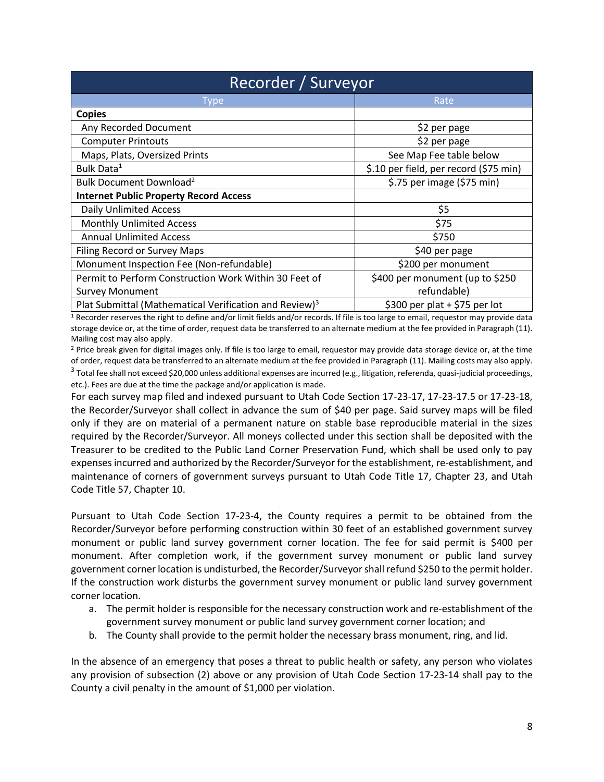| Recorder / Surveyor                                                |                                        |  |
|--------------------------------------------------------------------|----------------------------------------|--|
| <b>Type</b>                                                        | Rate                                   |  |
| <b>Copies</b>                                                      |                                        |  |
| Any Recorded Document                                              | \$2 per page                           |  |
| <b>Computer Printouts</b>                                          | \$2 per page                           |  |
| Maps, Plats, Oversized Prints                                      | See Map Fee table below                |  |
| Bulk Data <sup>1</sup>                                             | \$.10 per field, per record (\$75 min) |  |
| Bulk Document Download <sup>2</sup>                                | \$.75 per image (\$75 min)             |  |
| <b>Internet Public Property Record Access</b>                      |                                        |  |
| <b>Daily Unlimited Access</b>                                      | \$5                                    |  |
| <b>Monthly Unlimited Access</b>                                    | \$75                                   |  |
| <b>Annual Unlimited Access</b>                                     | \$750                                  |  |
| Filing Record or Survey Maps                                       | \$40 per page                          |  |
| Monument Inspection Fee (Non-refundable)                           | \$200 per monument                     |  |
| Permit to Perform Construction Work Within 30 Feet of              | \$400 per monument (up to \$250        |  |
| <b>Survey Monument</b>                                             | refundable)                            |  |
| Plat Submittal (Mathematical Verification and Review) <sup>3</sup> | \$300 per plat $+$ \$75 per lot        |  |

<sup>1</sup> Recorder reserves the right to define and/or limit fields and/or records. If file is too large to email, requestor may provide data storage device or, at the time of order, request data be transferred to an alternate medium at the fee provided in Paragraph (11). Mailing cost may also apply.

<sup>2</sup> Price break given for digital images only. If file is too large to email, requestor may provide data storage device or, at the time of order, request data be transferred to an alternate medium at the fee provided in Paragraph (11). Mailing costs may also apply.  $^3$  Total fee shall not exceed \$20,000 unless additional expenses are incurred (e.g., litigation, referenda, quasi-judicial proceedings, etc.). Fees are due at the time the package and/or application is made.

For each survey map filed and indexed pursuant to Utah Code Section 17-23-17, 17-23-17.5 or 17-23-18, the Recorder/Surveyor shall collect in advance the sum of \$40 per page. Said survey maps will be filed only if they are on material of a permanent nature on stable base reproducible material in the sizes required by the Recorder/Surveyor. All moneys collected under this section shall be deposited with the Treasurer to be credited to the Public Land Corner Preservation Fund, which shall be used only to pay expenses incurred and authorized by the Recorder/Surveyor for the establishment, re-establishment, and maintenance of corners of government surveys pursuant to Utah Code Title 17, Chapter 23, and Utah Code Title 57, Chapter 10.

Pursuant to Utah Code Section 17-23-4, the County requires a permit to be obtained from the Recorder/Surveyor before performing construction within 30 feet of an established government survey monument or public land survey government corner location. The fee for said permit is \$400 per monument. After completion work, if the government survey monument or public land survey government corner location is undisturbed, the Recorder/Surveyor shall refund \$250 to the permit holder. If the construction work disturbs the government survey monument or public land survey government corner location.

- a. The permit holder is responsible for the necessary construction work and re-establishment of the government survey monument or public land survey government corner location; and
- b. The County shall provide to the permit holder the necessary brass monument, ring, and lid.

In the absence of an emergency that poses a threat to public health or safety, any person who violates any provision of subsection (2) above or any provision of Utah Code Section 17-23-14 shall pay to the County a civil penalty in the amount of \$1,000 per violation.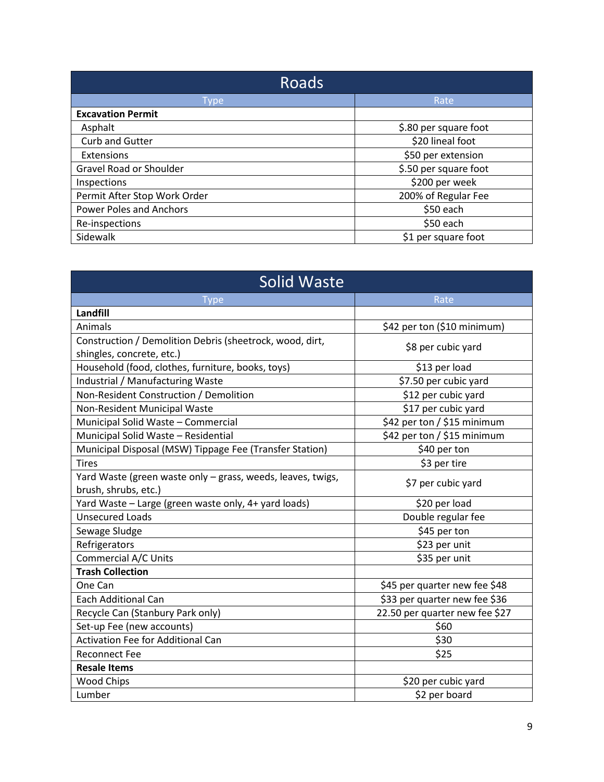| Roads                          |                       |
|--------------------------------|-----------------------|
| Type                           | Rate                  |
| <b>Excavation Permit</b>       |                       |
| Asphalt                        | \$.80 per square foot |
| <b>Curb and Gutter</b>         | \$20 lineal foot      |
| Extensions                     | \$50 per extension    |
| Gravel Road or Shoulder        | \$.50 per square foot |
| Inspections                    | \$200 per week        |
| Permit After Stop Work Order   | 200% of Regular Fee   |
| <b>Power Poles and Anchors</b> | \$50 each             |
| Re-inspections                 | \$50 each             |
| Sidewalk                       | \$1 per square foot   |

| <b>Solid Waste</b>                                                                    |                                |  |
|---------------------------------------------------------------------------------------|--------------------------------|--|
| <b>Type</b>                                                                           | Rate                           |  |
| Landfill                                                                              |                                |  |
| Animals                                                                               | \$42 per ton (\$10 minimum)    |  |
| Construction / Demolition Debris (sheetrock, wood, dirt,<br>shingles, concrete, etc.) | \$8 per cubic yard             |  |
| Household (food, clothes, furniture, books, toys)                                     | \$13 per load                  |  |
| Industrial / Manufacturing Waste                                                      | \$7.50 per cubic yard          |  |
| Non-Resident Construction / Demolition                                                | \$12 per cubic yard            |  |
| Non-Resident Municipal Waste                                                          | \$17 per cubic yard            |  |
| Municipal Solid Waste - Commercial                                                    | \$42 per ton / \$15 minimum    |  |
| Municipal Solid Waste - Residential                                                   | \$42 per ton / \$15 minimum    |  |
| Municipal Disposal (MSW) Tippage Fee (Transfer Station)                               | \$40 per ton                   |  |
| <b>Tires</b>                                                                          | \$3 per tire                   |  |
| Yard Waste (green waste only - grass, weeds, leaves, twigs,<br>brush, shrubs, etc.)   | \$7 per cubic yard             |  |
| Yard Waste - Large (green waste only, 4+ yard loads)                                  | \$20 per load                  |  |
| <b>Unsecured Loads</b>                                                                | Double regular fee             |  |
| Sewage Sludge                                                                         | \$45 per ton                   |  |
| Refrigerators                                                                         | \$23 per unit                  |  |
| <b>Commercial A/C Units</b>                                                           | \$35 per unit                  |  |
| <b>Trash Collection</b>                                                               |                                |  |
| One Can                                                                               | \$45 per quarter new fee \$48  |  |
| <b>Each Additional Can</b>                                                            | \$33 per quarter new fee \$36  |  |
| Recycle Can (Stanbury Park only)                                                      | 22.50 per quarter new fee \$27 |  |
| Set-up Fee (new accounts)                                                             | \$60                           |  |
| <b>Activation Fee for Additional Can</b>                                              | \$30                           |  |
| <b>Reconnect Fee</b>                                                                  | \$25                           |  |
| <b>Resale Items</b>                                                                   |                                |  |
| <b>Wood Chips</b>                                                                     | \$20 per cubic yard            |  |
| Lumber                                                                                | \$2 per board                  |  |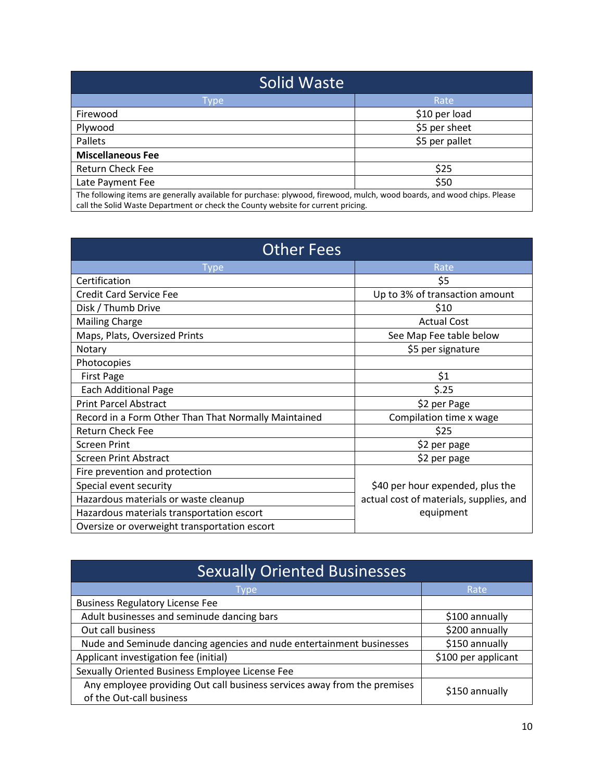| Solid Waste                                                                                                                                                                                                 |                |  |
|-------------------------------------------------------------------------------------------------------------------------------------------------------------------------------------------------------------|----------------|--|
| <b>Type</b>                                                                                                                                                                                                 | Rate           |  |
| Firewood                                                                                                                                                                                                    | \$10 per load  |  |
| Plywood                                                                                                                                                                                                     | \$5 per sheet  |  |
| Pallets                                                                                                                                                                                                     | \$5 per pallet |  |
| <b>Miscellaneous Fee</b>                                                                                                                                                                                    |                |  |
| <b>Return Check Fee</b>                                                                                                                                                                                     | \$25           |  |
| Late Payment Fee                                                                                                                                                                                            | \$50           |  |
| The following items are generally available for purchase: plywood, firewood, mulch, wood boards, and wood chips. Please<br>call the Solid Waste Department or check the County website for current pricing. |                |  |

| <b>Other Fees</b>                                    |                                         |
|------------------------------------------------------|-----------------------------------------|
| Type                                                 | Rate                                    |
| Certification                                        | \$5                                     |
| <b>Credit Card Service Fee</b>                       | Up to 3% of transaction amount          |
| Disk / Thumb Drive                                   | \$10                                    |
| <b>Mailing Charge</b>                                | <b>Actual Cost</b>                      |
| Maps, Plats, Oversized Prints                        | See Map Fee table below                 |
| Notary                                               | \$5 per signature                       |
| Photocopies                                          |                                         |
| <b>First Page</b>                                    | \$1                                     |
| <b>Each Additional Page</b>                          | \$.25                                   |
| <b>Print Parcel Abstract</b>                         | \$2 per Page                            |
| Record in a Form Other Than That Normally Maintained | Compilation time x wage                 |
| <b>Return Check Fee</b>                              | \$25                                    |
| <b>Screen Print</b>                                  | \$2 per page                            |
| <b>Screen Print Abstract</b>                         | \$2 per page                            |
| Fire prevention and protection                       |                                         |
| Special event security                               | \$40 per hour expended, plus the        |
| Hazardous materials or waste cleanup                 | actual cost of materials, supplies, and |
| Hazardous materials transportation escort            | equipment                               |
| Oversize or overweight transportation escort         |                                         |

| <b>Sexually Oriented Businesses</b>                                                                  |                     |  |
|------------------------------------------------------------------------------------------------------|---------------------|--|
| Type                                                                                                 | Rate                |  |
| <b>Business Regulatory License Fee</b>                                                               |                     |  |
| Adult businesses and seminude dancing bars                                                           | \$100 annually      |  |
| Out call business                                                                                    | \$200 annually      |  |
| Nude and Seminude dancing agencies and nude entertainment businesses                                 | \$150 annually      |  |
| Applicant investigation fee (initial)                                                                | \$100 per applicant |  |
| Sexually Oriented Business Employee License Fee                                                      |                     |  |
| Any employee providing Out call business services away from the premises<br>of the Out-call business | \$150 annually      |  |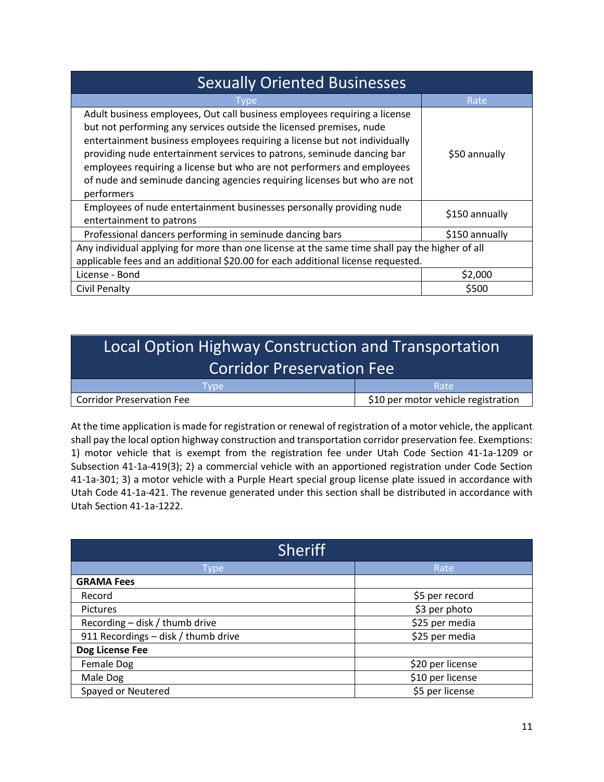| <b>Sexually Oriented Businesses</b>                                                                                                                                                                                                                                                                                                                                                                                                                                         |                |  |
|-----------------------------------------------------------------------------------------------------------------------------------------------------------------------------------------------------------------------------------------------------------------------------------------------------------------------------------------------------------------------------------------------------------------------------------------------------------------------------|----------------|--|
| <b>I</b> vpe                                                                                                                                                                                                                                                                                                                                                                                                                                                                | Rate           |  |
| Adult business employees, Out call business employees requiring a license<br>but not performing any services outside the licensed premises, nude<br>entertainment business employees requiring a license but not individually<br>providing nude entertainment services to patrons, seminude dancing bar<br>employees requiring a license but who are not performers and employees<br>of nude and seminude dancing agencies requiring licenses but who are not<br>performers | \$50 annually  |  |
| Employees of nude entertainment businesses personally providing nude<br>entertainment to patrons                                                                                                                                                                                                                                                                                                                                                                            | \$150 annually |  |
| Professional dancers performing in seminude dancing bars                                                                                                                                                                                                                                                                                                                                                                                                                    | \$150 annually |  |
| Any individual applying for more than one license at the same time shall pay the higher of all                                                                                                                                                                                                                                                                                                                                                                              |                |  |
| applicable fees and an additional \$20.00 for each additional license requested.                                                                                                                                                                                                                                                                                                                                                                                            |                |  |
| License - Bond                                                                                                                                                                                                                                                                                                                                                                                                                                                              | \$2,000        |  |
| <b>Civil Penalty</b>                                                                                                                                                                                                                                                                                                                                                                                                                                                        | \$500          |  |

## Local Option Highway Construction and Transportation Corridor Preservation Fee

| vpe                              | Rate                                |
|----------------------------------|-------------------------------------|
| <b>Corridor Preservation Fee</b> | \$10 per motor vehicle registration |

At the time application is made for registration or renewal of registration of a motor vehicle, the applicant shall pay the local option highway construction and transportation corridor preservation fee. Exemptions: 1) motor vehicle that is exempt from the registration fee under Utah Code Section 41-1a-1209 or Subsection 41-1a-419(3); 2) a commercial vehicle with an apportioned registration under Code Section 41-1a-301; 3) a motor vehicle with a Purple Heart special group license plate issued in accordance with Utah Code 41-1a-421. The revenue generated under this section shall be distributed in accordance with Utah Section 41-1a-1222.

| <b>Sheriff</b>                      |                  |
|-------------------------------------|------------------|
| Type                                | Rate             |
| <b>GRAMA Fees</b>                   |                  |
| Record                              | \$5 per record   |
| <b>Pictures</b>                     | \$3 per photo    |
| Recording - disk / thumb drive      | \$25 per media   |
| 911 Recordings - disk / thumb drive | \$25 per media   |
| Dog License Fee                     |                  |
| Female Dog                          | \$20 per license |
| Male Dog                            | \$10 per license |
| Spayed or Neutered                  | \$5 per license  |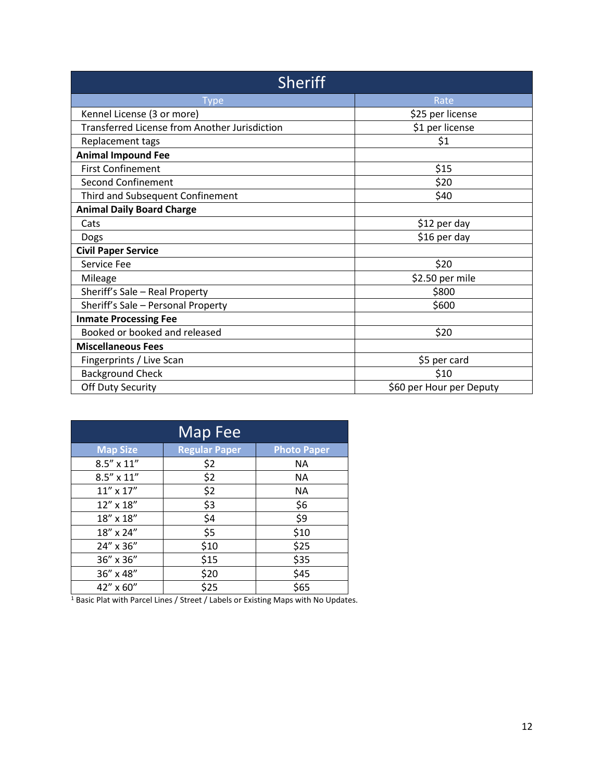| <b>Sheriff</b>                                       |                          |  |
|------------------------------------------------------|--------------------------|--|
| <b>Type</b>                                          | Rate                     |  |
| Kennel License (3 or more)                           | \$25 per license         |  |
| <b>Transferred License from Another Jurisdiction</b> | \$1 per license          |  |
| Replacement tags                                     | \$1                      |  |
| <b>Animal Impound Fee</b>                            |                          |  |
| <b>First Confinement</b>                             | \$15                     |  |
| <b>Second Confinement</b>                            | \$20                     |  |
| Third and Subsequent Confinement                     | \$40                     |  |
| <b>Animal Daily Board Charge</b>                     |                          |  |
| Cats                                                 | \$12 per day             |  |
| Dogs                                                 | \$16 per day             |  |
| <b>Civil Paper Service</b>                           |                          |  |
| Service Fee                                          | \$20                     |  |
| Mileage                                              | \$2.50 per mile          |  |
| Sheriff's Sale - Real Property                       | \$800                    |  |
| Sheriff's Sale - Personal Property                   | \$600                    |  |
| <b>Inmate Processing Fee</b>                         |                          |  |
| Booked or booked and released                        | \$20                     |  |
| <b>Miscellaneous Fees</b>                            |                          |  |
| Fingerprints / Live Scan                             | \$5 per card             |  |
| <b>Background Check</b>                              | \$10                     |  |
| <b>Off Duty Security</b>                             | \$60 per Hour per Deputy |  |

| Map Fee             |                      |                    |
|---------------------|----------------------|--------------------|
| <b>Map Size</b>     | <b>Regular Paper</b> | <b>Photo Paper</b> |
| $8.5'' \times 11''$ | \$2                  | <b>NA</b>          |
| $8.5'' \times 11''$ | \$2                  | <b>NA</b>          |
| $11''$ x $17''$     | \$2                  | <b>NA</b>          |
| 12" x 18"           | \$3                  | \$6                |
| 18" x 18"           | \$4                  | \$9                |
| 18" x 24"           | \$5                  | \$10               |
| 24" x 36"           | \$10                 | \$25               |
| 36" x 36"           | \$15                 | \$35               |
| 36" x 48"           | \$20                 | \$45               |
| 42" x 60"           | \$25                 | \$65               |

<sup>1</sup> Basic Plat with Parcel Lines / Street / Labels or Existing Maps with No Updates.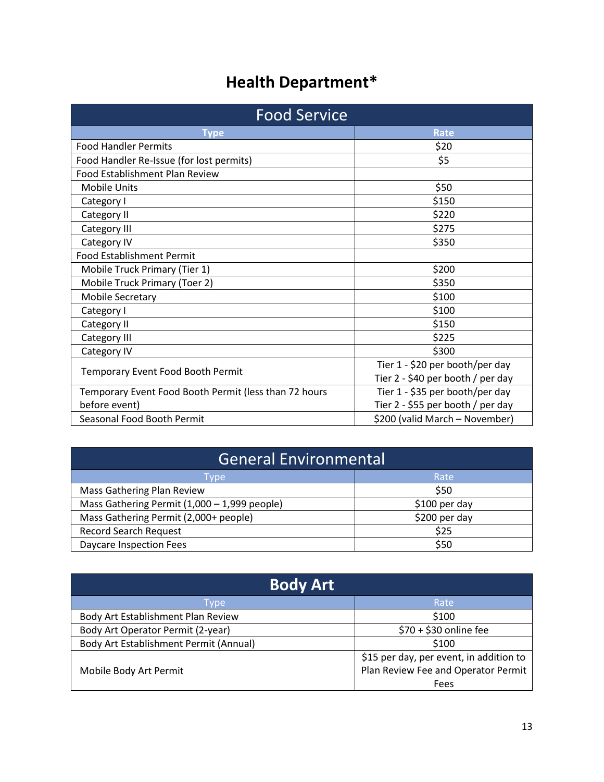# **Health Department\***

| <b>Food Service</b>                                   |                                   |
|-------------------------------------------------------|-----------------------------------|
| <b>Type</b>                                           | <b>Rate</b>                       |
| <b>Food Handler Permits</b>                           | \$20                              |
| Food Handler Re-Issue (for lost permits)              | \$5                               |
| Food Establishment Plan Review                        |                                   |
| <b>Mobile Units</b>                                   | \$50                              |
| Category I                                            | \$150                             |
| Category II                                           | \$220                             |
| Category III                                          | \$275                             |
| Category IV                                           | \$350                             |
| <b>Food Establishment Permit</b>                      |                                   |
| Mobile Truck Primary (Tier 1)                         | \$200                             |
| Mobile Truck Primary (Toer 2)                         | \$350                             |
| <b>Mobile Secretary</b>                               | \$100                             |
| Category I                                            | \$100                             |
| Category II                                           | \$150                             |
| Category III                                          | \$225                             |
| Category IV                                           | \$300                             |
| Temporary Event Food Booth Permit                     | Tier 1 - \$20 per booth/per day   |
|                                                       | Tier 2 - \$40 per booth / per day |
| Temporary Event Food Booth Permit (less than 72 hours | Tier 1 - \$35 per booth/per day   |
| before event)                                         | Tier 2 - \$55 per booth / per day |
| Seasonal Food Booth Permit                            | \$200 (valid March - November)    |

| General Environmental                        |                |
|----------------------------------------------|----------------|
| Type                                         | Rate           |
| Mass Gathering Plan Review                   | \$50           |
| Mass Gathering Permit (1,000 - 1,999 people) | $$100$ per day |
| Mass Gathering Permit (2,000+ people)        | \$200 per day  |
| <b>Record Search Request</b>                 | \$25           |
| Daycare Inspection Fees                      | \$50           |

| <b>Body Art</b>                        |                                         |
|----------------------------------------|-----------------------------------------|
| Type                                   | Rate                                    |
| Body Art Establishment Plan Review     | \$100                                   |
| Body Art Operator Permit (2-year)      | \$70 + \$30 online fee                  |
| Body Art Establishment Permit (Annual) | \$100                                   |
|                                        | \$15 per day, per event, in addition to |
| Mobile Body Art Permit                 | Plan Review Fee and Operator Permit     |
|                                        | Fees                                    |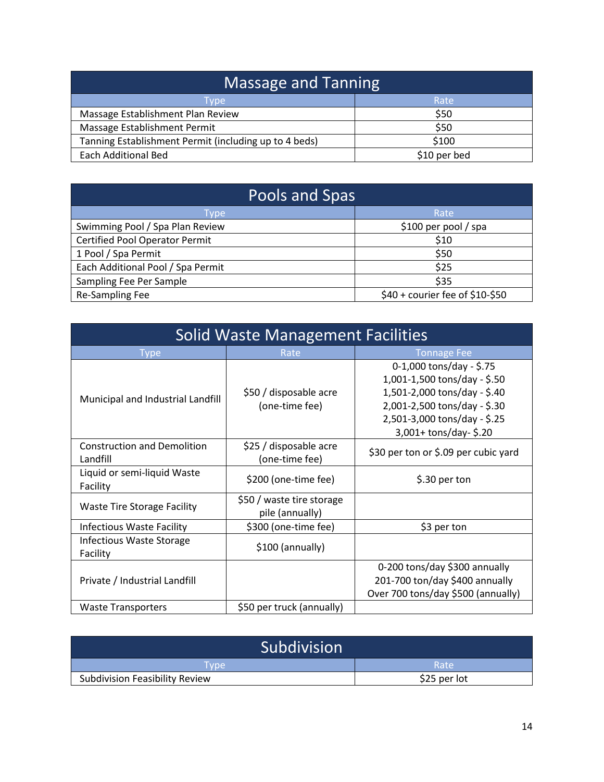| <b>Massage and Tanning</b>                            |              |  |
|-------------------------------------------------------|--------------|--|
| Type                                                  | Rate         |  |
| Massage Establishment Plan Review                     | \$50         |  |
| Massage Establishment Permit                          | \$50         |  |
| Tanning Establishment Permit (including up to 4 beds) | \$100        |  |
| <b>Each Additional Bed</b>                            | \$10 per bed |  |

| Pools and Spas                        |                                 |  |
|---------------------------------------|---------------------------------|--|
| Type                                  | Rate                            |  |
| Swimming Pool / Spa Plan Review       | \$100 per pool / spa            |  |
| <b>Certified Pool Operator Permit</b> | \$10                            |  |
| 1 Pool / Spa Permit                   | \$50                            |  |
| Each Additional Pool / Spa Permit     | \$25                            |  |
| Sampling Fee Per Sample               | \$35                            |  |
| Re-Sampling Fee                       | \$40 + courier fee of \$10-\$50 |  |

| Solid Waste Management Facilities              |                                              |                                                                                                                                                                                   |
|------------------------------------------------|----------------------------------------------|-----------------------------------------------------------------------------------------------------------------------------------------------------------------------------------|
| Type                                           | Rate                                         | <b>Tonnage Fee</b>                                                                                                                                                                |
| Municipal and Industrial Landfill              | \$50 / disposable acre<br>(one-time fee)     | 0-1,000 tons/day - \$.75<br>1,001-1,500 tons/day - \$.50<br>1,501-2,000 tons/day - \$.40<br>2,001-2,500 tons/day - \$.30<br>2,501-3,000 tons/day - \$.25<br>3,001+ tons/day-\$.20 |
| <b>Construction and Demolition</b><br>Landfill | \$25 / disposable acre<br>(one-time fee)     | \$30 per ton or \$.09 per cubic yard                                                                                                                                              |
| Liquid or semi-liquid Waste<br>Facility        | \$200 (one-time fee)                         | \$.30 per ton                                                                                                                                                                     |
| <b>Waste Tire Storage Facility</b>             | \$50 / waste tire storage<br>pile (annually) |                                                                                                                                                                                   |
| <b>Infectious Waste Facility</b>               | \$300 (one-time fee)                         | \$3 per ton                                                                                                                                                                       |
| <b>Infectious Waste Storage</b><br>Facility    | \$100 (annually)                             |                                                                                                                                                                                   |
| Private / Industrial Landfill                  |                                              | 0-200 tons/day \$300 annually<br>201-700 ton/day \$400 annually<br>Over 700 tons/day \$500 (annually)                                                                             |
| Waste Transporters                             | \$50 per truck (annually)                    |                                                                                                                                                                                   |

| Subdivision                           |              |
|---------------------------------------|--------------|
| l vpe                                 | Rate         |
| <b>Subdivision Feasibility Review</b> | \$25 per lot |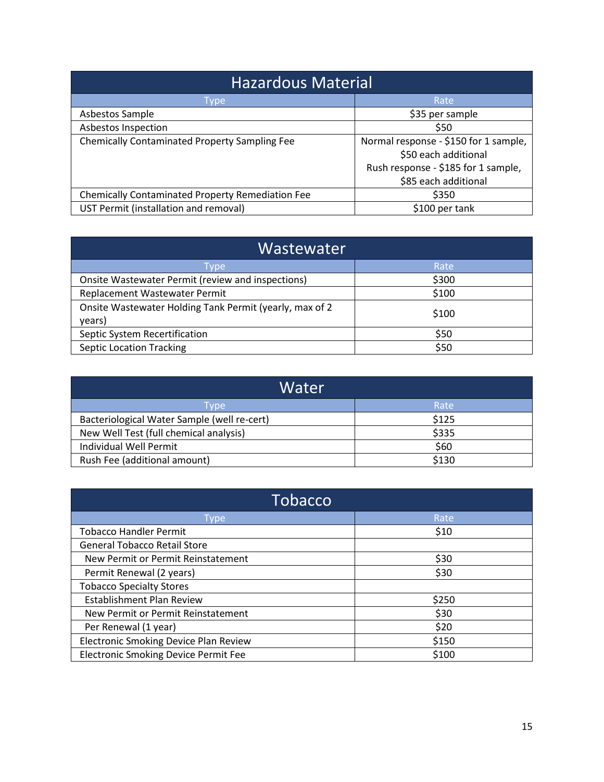| <b>Hazardous Material</b>                               |                                       |
|---------------------------------------------------------|---------------------------------------|
| Type                                                    | Rate                                  |
| Asbestos Sample                                         | \$35 per sample                       |
| Asbestos Inspection                                     | \$50                                  |
| <b>Chemically Contaminated Property Sampling Fee</b>    | Normal response - \$150 for 1 sample, |
|                                                         | \$50 each additional                  |
|                                                         | Rush response - \$185 for 1 sample,   |
|                                                         | \$85 each additional                  |
| <b>Chemically Contaminated Property Remediation Fee</b> | \$350                                 |
| UST Permit (installation and removal)                   | \$100 per tank                        |

| Wastewater                                                        |       |  |
|-------------------------------------------------------------------|-------|--|
| Type                                                              | Rate  |  |
| Onsite Wastewater Permit (review and inspections)                 | \$300 |  |
| Replacement Wastewater Permit                                     | \$100 |  |
| Onsite Wastewater Holding Tank Permit (yearly, max of 2<br>years) | \$100 |  |
| Septic System Recertification                                     | \$50  |  |
| <b>Septic Location Tracking</b>                                   | \$50  |  |

| Water                                       |       |
|---------------------------------------------|-------|
| Tvpe                                        | Rate  |
| Bacteriological Water Sample (well re-cert) | \$125 |
| New Well Test (full chemical analysis)      | \$335 |
| <b>Individual Well Permit</b>               | \$60  |
| Rush Fee (additional amount)                | \$130 |

| Tobacco                                      |       |
|----------------------------------------------|-------|
| <b>Type</b>                                  | Rate  |
| <b>Tobacco Handler Permit</b>                | \$10  |
| <b>General Tobacco Retail Store</b>          |       |
| New Permit or Permit Reinstatement           | \$30  |
| Permit Renewal (2 years)                     | \$30  |
| <b>Tobacco Specialty Stores</b>              |       |
| Establishment Plan Review                    | \$250 |
| New Permit or Permit Reinstatement           | \$30  |
| Per Renewal (1 year)                         | \$20  |
| <b>Electronic Smoking Device Plan Review</b> | \$150 |
| <b>Electronic Smoking Device Permit Fee</b>  | \$100 |